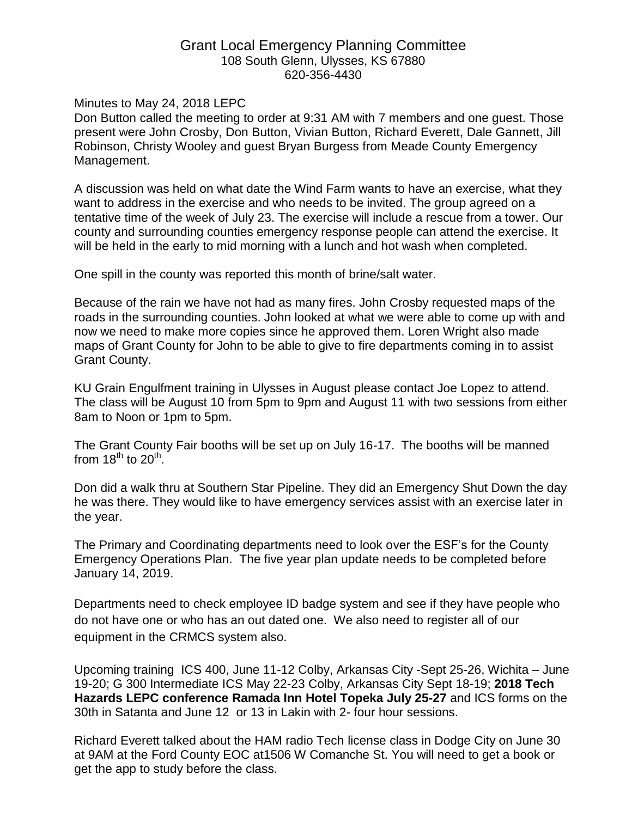## Grant Local Emergency Planning Committee 108 South Glenn, Ulysses, KS 67880 620-356-4430

Minutes to May 24, 2018 LEPC

Don Button called the meeting to order at 9:31 AM with 7 members and one guest. Those present were John Crosby, Don Button, Vivian Button, Richard Everett, Dale Gannett, Jill Robinson, Christy Wooley and guest Bryan Burgess from Meade County Emergency Management.

A discussion was held on what date the Wind Farm wants to have an exercise, what they want to address in the exercise and who needs to be invited. The group agreed on a tentative time of the week of July 23. The exercise will include a rescue from a tower. Our county and surrounding counties emergency response people can attend the exercise. It will be held in the early to mid morning with a lunch and hot wash when completed.

One spill in the county was reported this month of brine/salt water.

Because of the rain we have not had as many fires. John Crosby requested maps of the roads in the surrounding counties. John looked at what we were able to come up with and now we need to make more copies since he approved them. Loren Wright also made maps of Grant County for John to be able to give to fire departments coming in to assist Grant County.

KU Grain Engulfment training in Ulysses in August please contact Joe Lopez to attend. The class will be August 10 from 5pm to 9pm and August 11 with two sessions from either 8am to Noon or 1pm to 5pm.

The Grant County Fair booths will be set up on July 16-17. The booths will be manned from 18<sup>th</sup> to 20<sup>th</sup>.

Don did a walk thru at Southern Star Pipeline. They did an Emergency Shut Down the day he was there. They would like to have emergency services assist with an exercise later in the year.

The Primary and Coordinating departments need to look over the ESF's for the County Emergency Operations Plan. The five year plan update needs to be completed before January 14, 2019.

Departments need to check employee ID badge system and see if they have people who do not have one or who has an out dated one. We also need to register all of our equipment in the CRMCS system also.

Upcoming training ICS 400, June 11-12 Colby, Arkansas City -Sept 25-26, Wichita – June 19-20; G 300 Intermediate ICS May 22-23 Colby, Arkansas City Sept 18-19; **2018 Tech Hazards LEPC conference Ramada Inn Hotel Topeka July 25-27** and ICS forms on the 30th in Satanta and June 12 or 13 in Lakin with 2- four hour sessions.

Richard Everett talked about the HAM radio Tech license class in Dodge City on June 30 at 9AM at the Ford County EOC at1506 W Comanche St. You will need to get a book or get the app to study before the class.